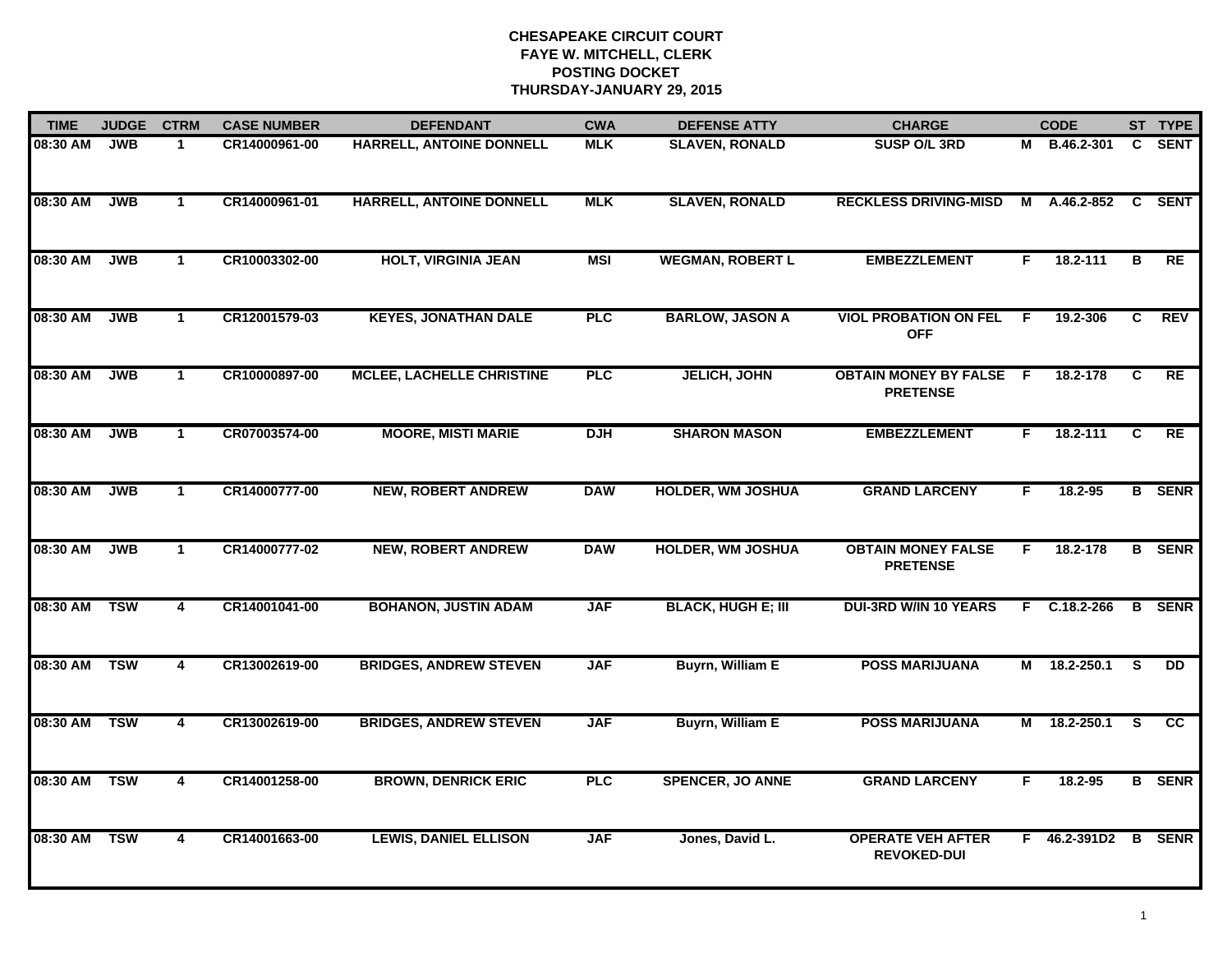| <b>TIME</b>  | <b>JUDGE</b> | <b>CTRM</b>    | <b>CASE NUMBER</b> | <b>DEFENDANT</b>                 | <b>CWA</b> | <b>DEFENSE ATTY</b>       | <b>CHARGE</b>                                   |    | <b>CODE</b>         |                         | ST TYPE       |
|--------------|--------------|----------------|--------------------|----------------------------------|------------|---------------------------|-------------------------------------------------|----|---------------------|-------------------------|---------------|
| 08:30 AM     | <b>JWB</b>   | $\mathbf 1$    | CR14000961-00      | HARRELL, ANTOINE DONNELL         | <b>MLK</b> | <b>SLAVEN, RONALD</b>     | SUSP O/L 3RD                                    |    | M B.46.2-301        | C.                      | <b>SENT</b>   |
| 08:30 AM     | JWB          | $\mathbf{1}$   | CR14000961-01      | HARRELL, ANTOINE DONNELL         | <b>MLK</b> | <b>SLAVEN, RONALD</b>     | <b>RECKLESS DRIVING-MISD</b>                    | М  | $A.46.2-852$ C      |                         | <b>SENT</b>   |
| 08:30 AM     | <b>JWB</b>   | $\mathbf{1}$   | CR10003302-00      | <b>HOLT, VIRGINIA JEAN</b>       | <b>MSI</b> | <b>WEGMAN, ROBERT L</b>   | <b>EMBEZZLEMENT</b>                             | F  | 18.2-111            | $\overline{\mathbf{B}}$ | RE            |
| 08:30 AM     | <b>JWB</b>   | $\mathbf{1}$   | CR12001579-03      | <b>KEYES, JONATHAN DALE</b>      | <b>PLC</b> | <b>BARLOW, JASON A</b>    | <b>VIOL PROBATION ON FEL</b><br><b>OFF</b>      | F. | 19.2-306            | C                       | <b>REV</b>    |
| 08:30 AM     | <b>JWB</b>   | $\mathbf{1}$   | CR10000897-00      | <b>MCLEE, LACHELLE CHRISTINE</b> | PLC        | <b>JELICH, JOHN</b>       | <b>OBTAIN MONEY BY FALSE</b><br><b>PRETENSE</b> | -F | 18.2-178            | C                       | <b>RE</b>     |
| 08:30 AM     | <b>JWB</b>   | $\mathbf{1}$   | CR07003574-00      | <b>MOORE, MISTI MARIE</b>        | <b>DJH</b> | <b>SHARON MASON</b>       | <b>EMBEZZLEMENT</b>                             | F. | $18.2 - 111$        | C                       | RE            |
| 08:30 AM     | JWB          | $\mathbf{1}$   | CR14000777-00      | <b>NEW, ROBERT ANDREW</b>        | <b>DAW</b> | <b>HOLDER, WM JOSHUA</b>  | <b>GRAND LARCENY</b>                            | F. | 18.2-95             |                         | <b>B</b> SENR |
| 08:30 AM     | <b>JWB</b>   | $\mathbf{1}$   | CR14000777-02      | <b>NEW, ROBERT ANDREW</b>        | <b>DAW</b> | <b>HOLDER, WM JOSHUA</b>  | <b>OBTAIN MONEY FALSE</b><br><b>PRETENSE</b>    | F  | 18.2-178            |                         | <b>B</b> SENR |
| 08:30 AM     | <b>TSW</b>   | 4              | CR14001041-00      | <b>BOHANON, JUSTIN ADAM</b>      | <b>JAF</b> | <b>BLACK, HUGH E; III</b> | <b>DUI-3RD W/IN 10 YEARS</b>                    | F. | C.18.2-266          | B                       | <b>SENR</b>   |
| 08:30 AM     | <b>TSW</b>   | 4              | CR13002619-00      | <b>BRIDGES, ANDREW STEVEN</b>    | <b>JAF</b> | <b>Buyrn, William E</b>   | <b>POSS MARIJUANA</b>                           | М  | 18.2-250.1          | <b>S</b>                | <b>DD</b>     |
| 08:30 AM     | <b>TSW</b>   | 4              | CR13002619-00      | <b>BRIDGES, ANDREW STEVEN</b>    | <b>JAF</b> | <b>Buyrn, William E</b>   | <b>POSS MARIJUANA</b>                           |    | M 18.2-250.1        | <b>S</b>                | <b>CC</b>     |
| 08:30 AM TSW |              | $\overline{4}$ | CR14001258-00      | <b>BROWN, DENRICK ERIC</b>       | <b>PLC</b> | <b>SPENCER, JO ANNE</b>   | <b>GRAND LARCENY</b>                            | F  | 18.2-95             |                         | <b>B</b> SENR |
| 08:30 AM TSW |              | 4              | CR14001663-00      | <b>LEWIS, DANIEL ELLISON</b>     | <b>JAF</b> | Jones, David L.           | <b>OPERATE VEH AFTER</b><br><b>REVOKED-DUI</b>  |    | F 46.2-391D2 B SENR |                         |               |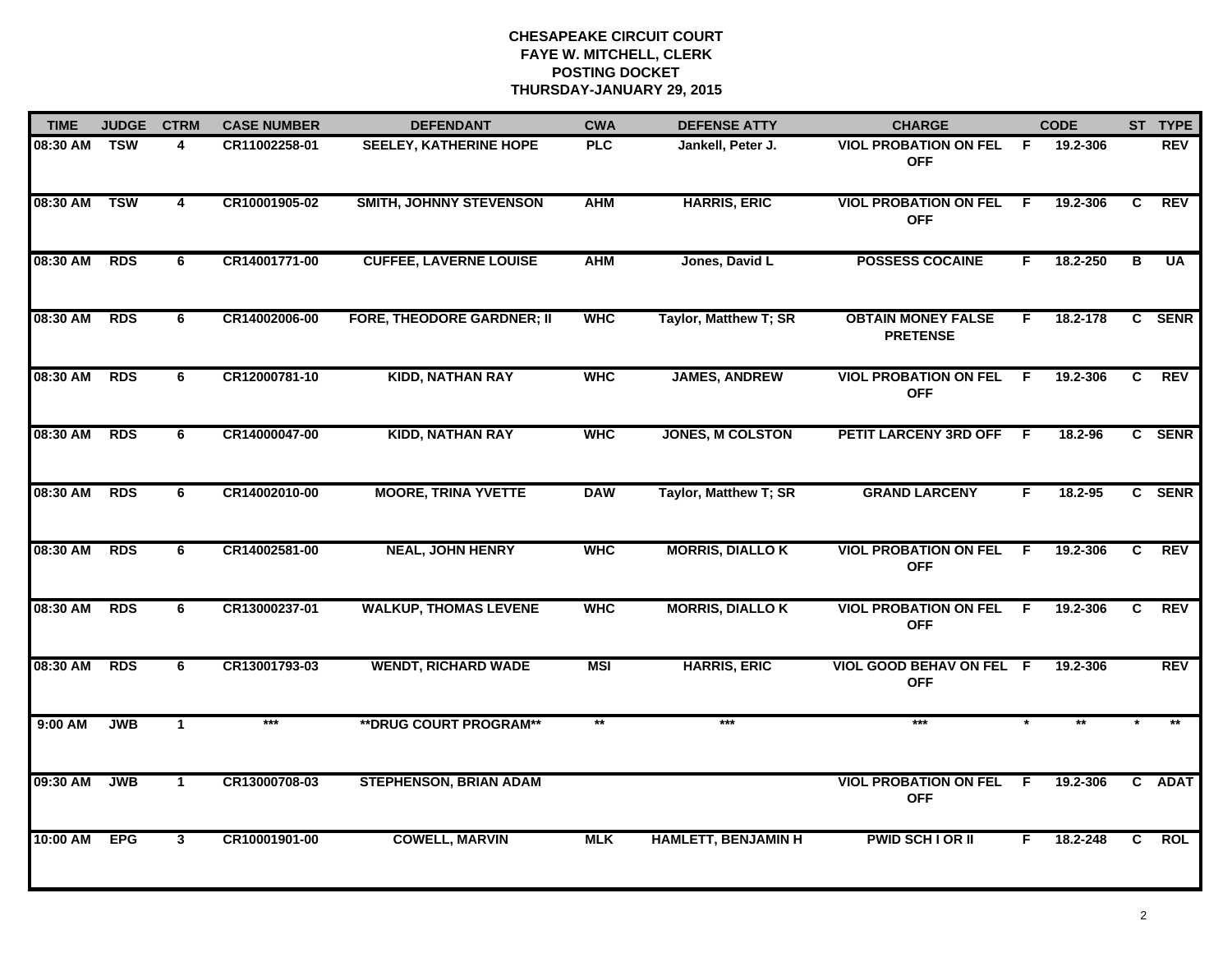| <b>TIME</b>  | <b>JUDGE</b> | <b>CTRM</b>    | <b>CASE NUMBER</b> | <b>DEFENDANT</b>                  | <b>CWA</b>   | <b>DEFENSE ATTY</b>        | <b>CHARGE</b>                                |     | <b>CODE</b> |                         | ST TYPE     |
|--------------|--------------|----------------|--------------------|-----------------------------------|--------------|----------------------------|----------------------------------------------|-----|-------------|-------------------------|-------------|
| 08:30 AM     | <b>TSW</b>   | 4              | CR11002258-01      | <b>SEELEY, KATHERINE HOPE</b>     | <b>PLC</b>   | Jankell, Peter J.          | <b>VIOL PROBATION ON FEL</b><br><b>OFF</b>   | -F  | 19.2-306    |                         | <b>REV</b>  |
| 08:30 AM     | <b>TSW</b>   | 4              | CR10001905-02      | <b>SMITH, JOHNNY STEVENSON</b>    | <b>AHM</b>   | <b>HARRIS, ERIC</b>        | <b>VIOL PROBATION ON FEL</b><br><b>OFF</b>   | - F | 19.2-306    | C                       | <b>REV</b>  |
| 08:30 AM     | <b>RDS</b>   | 6              | CR14001771-00      | <b>CUFFEE, LAVERNE LOUISE</b>     | <b>AHM</b>   | Jones, David L             | <b>POSSESS COCAINE</b>                       | F.  | 18.2-250    | $\overline{\mathbf{B}}$ | <b>UA</b>   |
| 08:30 AM     | <b>RDS</b>   | 6              | CR14002006-00      | <b>FORE, THEODORE GARDNER; II</b> | <b>WHC</b>   | Taylor, Matthew T; SR      | <b>OBTAIN MONEY FALSE</b><br><b>PRETENSE</b> | F.  | 18.2-178    | $\mathbf{c}$            | <b>SENR</b> |
| 08:30 AM     | <b>RDS</b>   | 6              | CR12000781-10      | <b>KIDD, NATHAN RAY</b>           | <b>WHC</b>   | <b>JAMES, ANDREW</b>       | <b>VIOL PROBATION ON FEL</b><br><b>OFF</b>   | - F | 19.2-306    | C                       | <b>REV</b>  |
| 08:30 AM RDS |              | 6              | CR14000047-00      | <b>KIDD, NATHAN RAY</b>           | <b>WHC</b>   | <b>JONES, M COLSTON</b>    | PETIT LARCENY 3RD OFF F                      |     | 18.2-96     |                         | C SENR      |
| 08:30 AM     | <b>RDS</b>   | 6              | CR14002010-00      | <b>MOORE, TRINA YVETTE</b>        | <b>DAW</b>   | Taylor, Matthew T; SR      | <b>GRAND LARCENY</b>                         | F.  | 18.2-95     |                         | C SENR      |
| 08:30 AM     | <b>RDS</b>   | 6              | CR14002581-00      | <b>NEAL, JOHN HENRY</b>           | <b>WHC</b>   | <b>MORRIS, DIALLO K</b>    | <b>VIOL PROBATION ON FEL</b><br><b>OFF</b>   | F.  | 19.2-306    | $\overline{c}$          | <b>REV</b>  |
| 08:30 AM     | <b>RDS</b>   | 6              | CR13000237-01      | <b>WALKUP, THOMAS LEVENE</b>      | <b>WHC</b>   | <b>MORRIS, DIALLO K</b>    | <b>VIOL PROBATION ON FEL</b><br><b>OFF</b>   | E   | 19.2-306    | C.                      | <b>REV</b>  |
| 08:30 AM     | <b>RDS</b>   | 6              | CR13001793-03      | <b>WENDT, RICHARD WADE</b>        | <b>MSI</b>   | <b>HARRIS, ERIC</b>        | VIOL GOOD BEHAV ON FEL F<br><b>OFF</b>       |     | 19.2-306    |                         | <b>REV</b>  |
| 9:00 AM      | <b>JWB</b>   | $\mathbf{1}$   | ***                | ** DRUG COURT PROGRAM**           | $\star\star$ | ***                        | ***                                          |     |             |                         |             |
| 09:30 AM     | <b>JWB</b>   | $\mathbf{1}$   | CR13000708-03      | <b>STEPHENSON, BRIAN ADAM</b>     |              |                            | <b>VIOL PROBATION ON FEL</b><br><b>OFF</b>   | - F | 19.2-306    |                         | C ADAT      |
| 10:00 AM     | <b>EPG</b>   | $\overline{3}$ | CR10001901-00      | <b>COWELL, MARVIN</b>             | <b>MLK</b>   | <b>HAMLETT, BENJAMIN H</b> | <b>PWID SCH I OR II</b>                      | F.  | 18.2-248    | $\overline{c}$          | <b>ROL</b>  |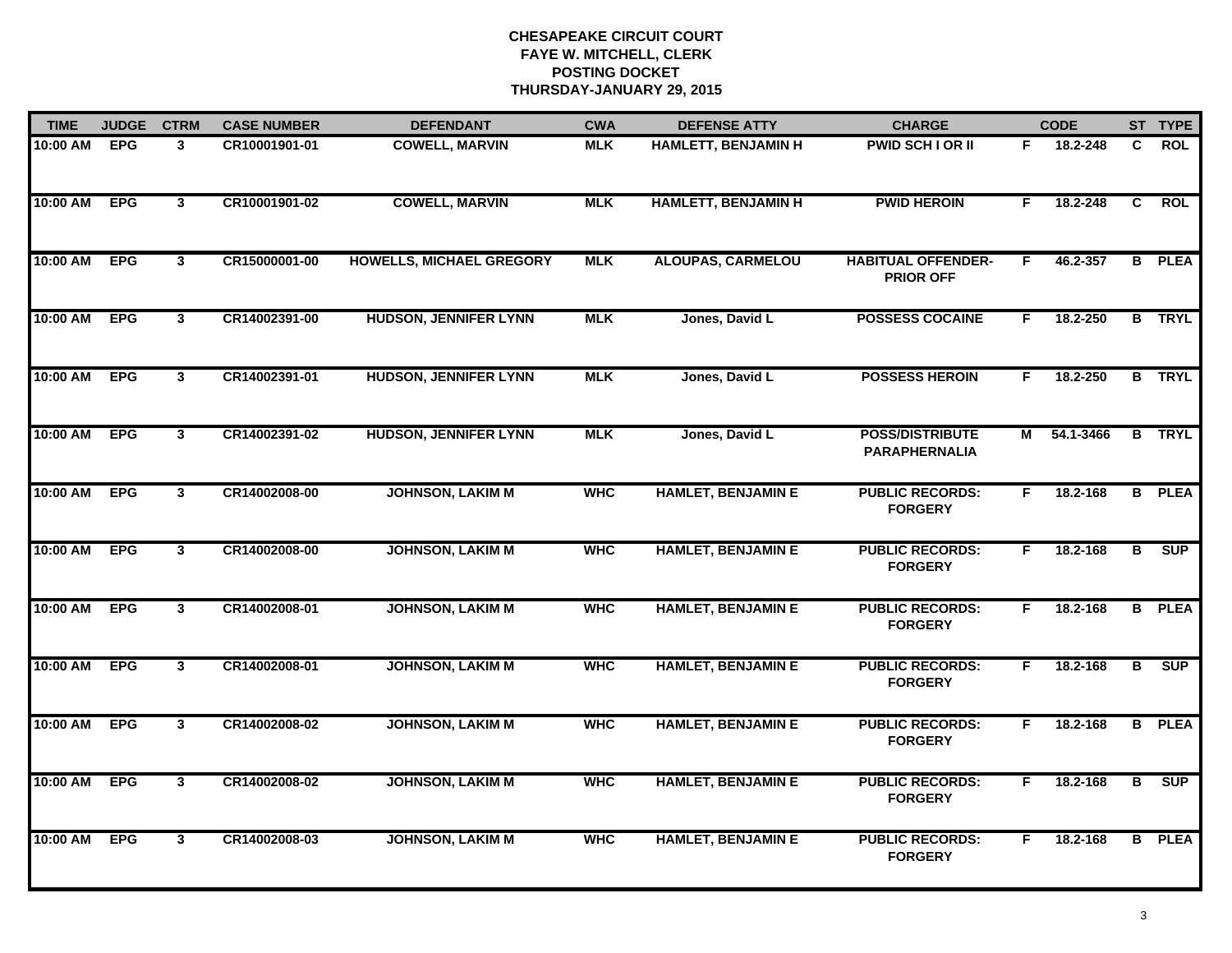| <b>TIME</b> | <b>JUDGE</b> | <b>CTRM</b>    | <b>CASE NUMBER</b> | <b>DEFENDANT</b>                | <b>CWA</b> | <b>DEFENSE ATTY</b>        | <b>CHARGE</b>                                  |    | <b>CODE</b> |                | ST TYPE       |
|-------------|--------------|----------------|--------------------|---------------------------------|------------|----------------------------|------------------------------------------------|----|-------------|----------------|---------------|
| 10:00 AM    | <b>EPG</b>   | $\mathbf{3}$   | CR10001901-01      | <b>COWELL, MARVIN</b>           | <b>MLK</b> | HAMLETT, BENJAMIN H        | PWID SCH I OR II                               | F. | 18.2-248    | C.             | <b>ROL</b>    |
| 10:00 AM    | <b>EPG</b>   | 3              | CR10001901-02      | <b>COWELL, MARVIN</b>           | <b>MLK</b> | <b>HAMLETT, BENJAMIN H</b> | <b>PWID HEROIN</b>                             | F. | 18.2-248    | $\overline{c}$ | <b>ROL</b>    |
| 10:00 AM    | <b>EPG</b>   | $\overline{3}$ | CR15000001-00      | <b>HOWELLS, MICHAEL GREGORY</b> | <b>MLK</b> | <b>ALOUPAS, CARMELOU</b>   | <b>HABITUAL OFFENDER-</b><br><b>PRIOR OFF</b>  | F. | 46.2-357    |                | <b>B</b> PLEA |
| 10:00 AM    | <b>EPG</b>   | $\mathbf{3}$   | CR14002391-00      | <b>HUDSON, JENNIFER LYNN</b>    | <b>MLK</b> | Jones, David L             | <b>POSSESS COCAINE</b>                         | F. | 18.2-250    |                | <b>B</b> TRYL |
| 10:00 AM    | <b>EPG</b>   | $\mathbf{3}$   | CR14002391-01      | <b>HUDSON, JENNIFER LYNN</b>    | <b>MLK</b> | Jones, David L             | <b>POSSESS HEROIN</b>                          | F. | 18.2-250    |                | <b>B</b> TRYL |
| 10:00 AM    | <b>EPG</b>   | 3              | CR14002391-02      | <b>HUDSON, JENNIFER LYNN</b>    | <b>MLK</b> | Jones, David L             | <b>POSS/DISTRIBUTE</b><br><b>PARAPHERNALIA</b> |    | M 54.1-3466 |                | <b>B</b> TRYL |
| 10:00 AM    | <b>EPG</b>   | $\mathbf{3}$   | CR14002008-00      | <b>JOHNSON, LAKIM M</b>         | <b>WHC</b> | <b>HAMLET, BENJAMIN E</b>  | <b>PUBLIC RECORDS:</b><br><b>FORGERY</b>       | F  | 18.2-168    |                | <b>B</b> PLEA |
| 10:00 AM    | <b>EPG</b>   | $\overline{3}$ | CR14002008-00      | <b>JOHNSON, LAKIM M</b>         | <b>WHC</b> | <b>HAMLET, BENJAMIN E</b>  | <b>PUBLIC RECORDS:</b><br><b>FORGERY</b>       | F  | 18.2-168    | $\overline{B}$ | SUP           |
| 10:00 AM    | <b>EPG</b>   | $\mathbf{3}$   | CR14002008-01      | <b>JOHNSON, LAKIM M</b>         | <b>WHC</b> | <b>HAMLET, BENJAMIN E</b>  | <b>PUBLIC RECORDS:</b><br><b>FORGERY</b>       | F. | 18.2-168    |                | <b>B</b> PLEA |
| 10:00 AM    | <b>EPG</b>   | $\mathbf{3}$   | CR14002008-01      | <b>JOHNSON, LAKIM M</b>         | <b>WHC</b> | <b>HAMLET, BENJAMIN E</b>  | <b>PUBLIC RECORDS:</b><br><b>FORGERY</b>       | F. | 18.2-168    | B              | <b>SUP</b>    |
| 10:00 AM    | <b>EPG</b>   | $\mathbf{3}$   | CR14002008-02      | <b>JOHNSON, LAKIM M</b>         | <b>WHC</b> | <b>HAMLET, BENJAMIN E</b>  | <b>PUBLIC RECORDS:</b><br><b>FORGERY</b>       | F. | 18.2-168    |                | <b>B</b> PLEA |
| 10:00 AM    | <b>EPG</b>   | $\mathbf{3}$   | CR14002008-02      | <b>JOHNSON, LAKIM M</b>         | <b>WHC</b> | <b>HAMLET, BENJAMIN E</b>  | <b>PUBLIC RECORDS:</b><br><b>FORGERY</b>       | F. | 18.2-168    | в              | <b>SUP</b>    |
| 10:00 AM    | <b>EPG</b>   | $\mathbf{3}$   | CR14002008-03      | <b>JOHNSON, LAKIM M</b>         | <b>WHC</b> | <b>HAMLET, BENJAMIN E</b>  | <b>PUBLIC RECORDS:</b><br><b>FORGERY</b>       | F. | 18.2-168    |                | <b>B</b> PLEA |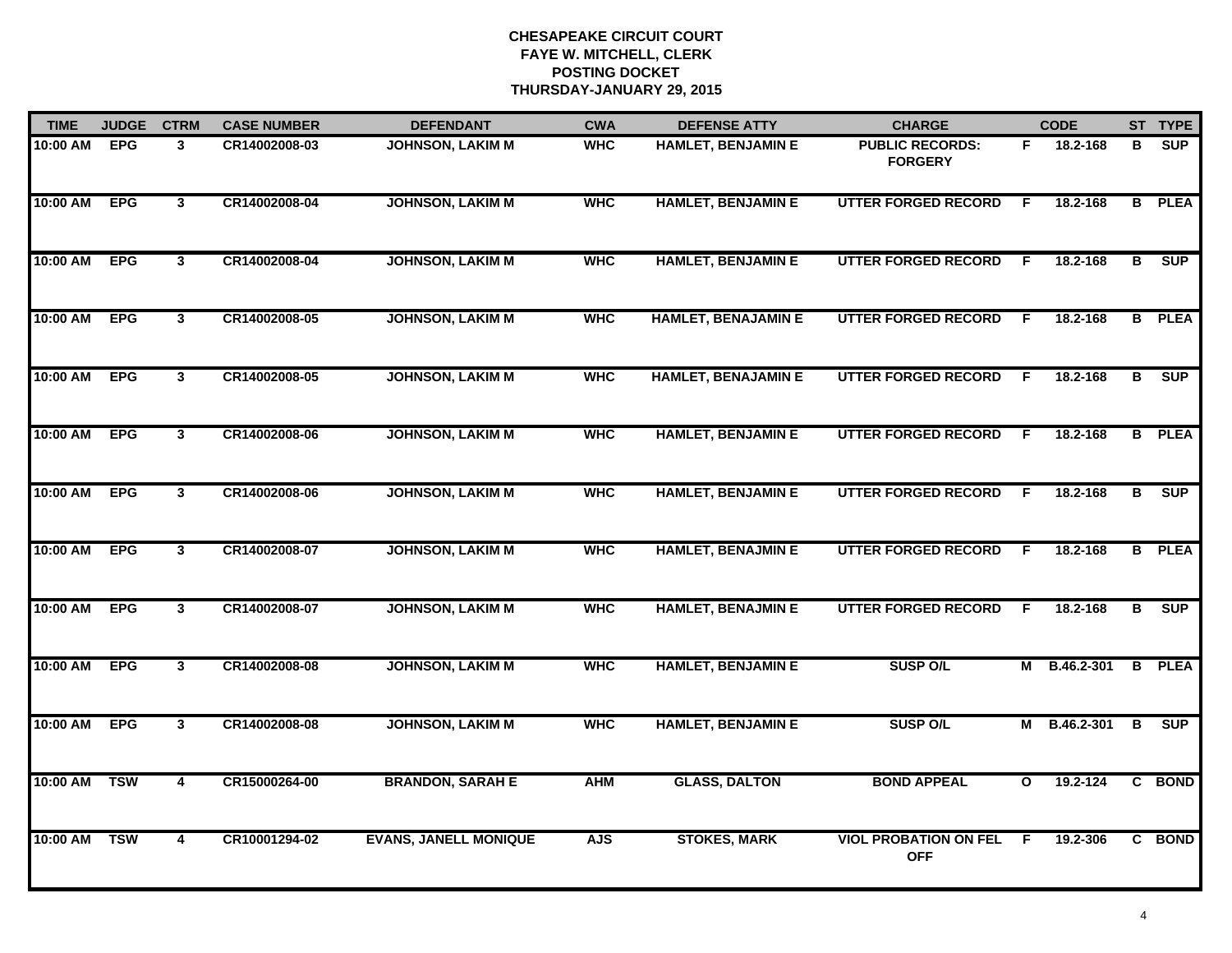| <b>TIME</b> | <b>JUDGE</b> | <b>CTRM</b>             | <b>CASE NUMBER</b> | <b>DEFENDANT</b>             | <b>CWA</b> | <b>DEFENSE ATTY</b>        | <b>CHARGE</b>                              |              | <b>CODE</b>  |                         | ST TYPE       |
|-------------|--------------|-------------------------|--------------------|------------------------------|------------|----------------------------|--------------------------------------------|--------------|--------------|-------------------------|---------------|
| 10:00 AM    | <b>EPG</b>   | 3                       | CR14002008-03      | <b>JOHNSON, LAKIM M</b>      | <b>WHC</b> | <b>HAMLET, BENJAMIN E</b>  | <b>PUBLIC RECORDS:</b><br><b>FORGERY</b>   | F.           | 18.2-168     | в                       | SUP           |
| 10:00 AM    | <b>EPG</b>   | $\mathbf{3}$            | CR14002008-04      | <b>JOHNSON, LAKIM M</b>      | <b>WHC</b> | <b>HAMLET, BENJAMIN E</b>  | <b>UTTER FORGED RECORD</b>                 | -F           | 18.2-168     |                         | <b>B</b> PLEA |
| 10:00 AM    | <b>EPG</b>   | $\overline{3}$          | CR14002008-04      | <b>JOHNSON, LAKIM M</b>      | <b>WHC</b> | <b>HAMLET, BENJAMIN E</b>  | <b>UTTER FORGED RECORD</b>                 | F.           | 18.2-168     | $\overline{\mathbf{B}}$ | SUP           |
| 10:00 AM    | <b>EPG</b>   | 3 <sup>1</sup>          | CR14002008-05      | <b>JOHNSON, LAKIM M</b>      | <b>WHC</b> | <b>HAMLET, BENAJAMIN E</b> | <b>UTTER FORGED RECORD</b>                 | F.           | 18.2-168     |                         | <b>B</b> PLEA |
| 10:00 AM    | <b>EPG</b>   | $\mathbf{3}$            | CR14002008-05      | <b>JOHNSON, LAKIM M</b>      | <b>WHC</b> | <b>HAMLET, BENAJAMIN E</b> | <b>UTTER FORGED RECORD</b>                 | F.           | 18.2-168     | B                       | <b>SUP</b>    |
| 10:00 AM    | <b>EPG</b>   | $\mathbf{3}$            | CR14002008-06      | <b>JOHNSON, LAKIM M</b>      | <b>WHC</b> | <b>HAMLET, BENJAMIN E</b>  | <b>UTTER FORGED RECORD</b>                 | F            | 18.2-168     |                         | <b>B</b> PLEA |
| 10:00 AM    | <b>EPG</b>   | $\mathbf{3}$            | CR14002008-06      | <b>JOHNSON, LAKIM M</b>      | <b>WHC</b> | <b>HAMLET, BENJAMIN E</b>  | <b>UTTER FORGED RECORD</b>                 | -F           | 18.2-168     | в                       | <b>SUP</b>    |
| 10:00 AM    | <b>EPG</b>   | $\mathbf{3}$            | CR14002008-07      | <b>JOHNSON, LAKIM M</b>      | <b>WHC</b> | <b>HAMLET, BENAJMIN E</b>  | <b>UTTER FORGED RECORD</b>                 | F            | 18.2-168     |                         | <b>B</b> PLEA |
| 10:00 AM    | <b>EPG</b>   | $\mathbf{3}$            | CR14002008-07      | <b>JOHNSON, LAKIM M</b>      | <b>WHC</b> | <b>HAMLET, BENAJMIN E</b>  | <b>UTTER FORGED RECORD</b>                 | F.           | 18.2-168     | В                       | <b>SUP</b>    |
| 10:00 AM    | <b>EPG</b>   | $\mathbf{3}$            | CR14002008-08      | <b>JOHNSON, LAKIM M</b>      | <b>WHC</b> | <b>HAMLET, BENJAMIN E</b>  | <b>SUSP O/L</b>                            | Μ            | B.46.2-301   |                         | <b>B</b> PLEA |
| 10:00 AM    | <b>EPG</b>   | 3                       | CR14002008-08      | <b>JOHNSON, LAKIM M</b>      | <b>WHC</b> | <b>HAMLET, BENJAMIN E</b>  | <b>SUSP O/L</b>                            |              | M B.46.2-301 | B                       | <b>SUP</b>    |
| 10:00 AM    | <b>TSW</b>   | $\overline{\mathbf{4}}$ | CR15000264-00      | <b>BRANDON, SARAH E</b>      | <b>AHM</b> | <b>GLASS, DALTON</b>       | <b>BOND APPEAL</b>                         | $\mathbf{o}$ | 19.2-124     |                         | C BOND        |
| 10:00 AM    | <b>TSW</b>   | $\overline{\mathbf{4}}$ | CR10001294-02      | <b>EVANS, JANELL MONIQUE</b> | <b>AJS</b> | <b>STOKES, MARK</b>        | <b>VIOL PROBATION ON FEL</b><br><b>OFF</b> | F.           | 19.2-306     |                         | C BOND        |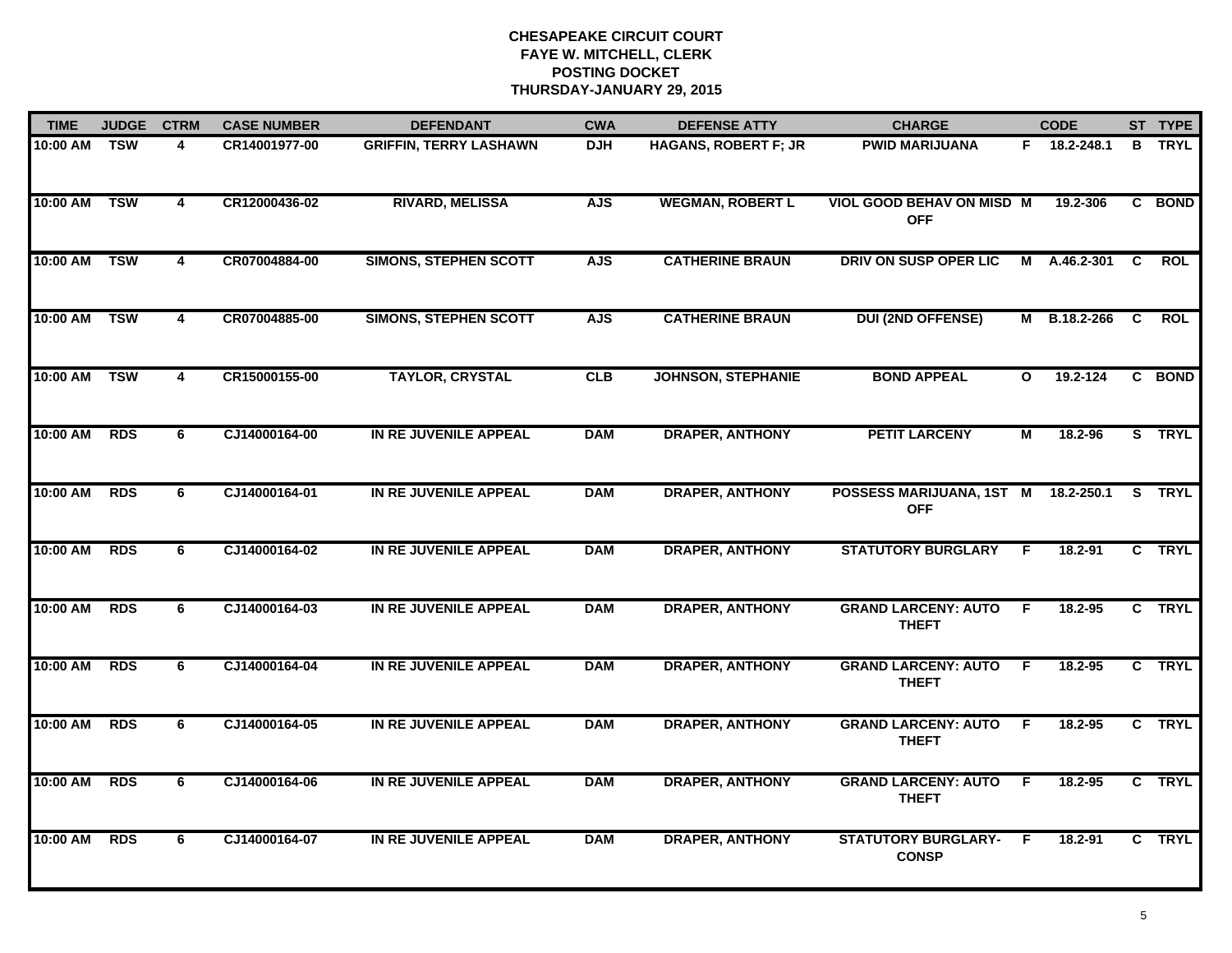| <b>TIME</b> | <b>JUDGE</b> | <b>CTRM</b>             | <b>CASE NUMBER</b> | <b>DEFENDANT</b>              | <b>CWA</b> | <b>DEFENSE ATTY</b>       | <b>CHARGE</b>                              |              | <b>CODE</b>  |    | ST TYPE     |
|-------------|--------------|-------------------------|--------------------|-------------------------------|------------|---------------------------|--------------------------------------------|--------------|--------------|----|-------------|
| 10:00 AM    | <b>TSW</b>   | 4                       | CR14001977-00      | <b>GRIFFIN, TERRY LASHAWN</b> | <b>DJH</b> | HAGANS, ROBERT F; JR      | <b>PWID MARIJUANA</b>                      |              | F 18.2-248.1 | B  | <b>TRYL</b> |
| 10:00 AM    | <b>TSW</b>   | $\overline{4}$          | CR12000436-02      | <b>RIVARD, MELISSA</b>        | <b>AJS</b> | <b>WEGMAN, ROBERT L</b>   | VIOL GOOD BEHAV ON MISD M<br><b>OFF</b>    |              | 19.2-306     |    | C BOND      |
| 10:00 AM    | <b>TSW</b>   | $\overline{\mathbf{4}}$ | CR07004884-00      | <b>SIMONS, STEPHEN SCOTT</b>  | <b>AJS</b> | <b>CATHERINE BRAUN</b>    | DRIV ON SUSP OPER LIC                      | M            | A.46.2-301   | C  | <b>ROL</b>  |
| 10:00 AM    | <b>TSW</b>   | 4                       | CR07004885-00      | <b>SIMONS, STEPHEN SCOTT</b>  | <b>AJS</b> | <b>CATHERINE BRAUN</b>    | <b>DUI (2ND OFFENSE)</b>                   | М            | B.18.2-266   | C  | <b>ROL</b>  |
| 10:00 AM    | <b>TSW</b>   | 4                       | CR15000155-00      | <b>TAYLOR, CRYSTAL</b>        | CLB        | <b>JOHNSON, STEPHANIE</b> | <b>BOND APPEAL</b>                         | $\mathbf{o}$ | 19.2-124     |    | C BOND      |
| 10:00 AM    | <b>RDS</b>   | 6                       | CJ14000164-00      | IN RE JUVENILE APPEAL         | <b>DAM</b> | <b>DRAPER, ANTHONY</b>    | <b>PETIT LARCENY</b>                       | М            | 18.2-96      |    | S TRYL      |
| 10:00 AM    | <b>RDS</b>   | 6                       | CJ14000164-01      | IN RE JUVENILE APPEAL         | <b>DAM</b> | <b>DRAPER, ANTHONY</b>    | POSSESS MARIJUANA, 1ST M<br><b>OFF</b>     |              | 18.2-250.1   | S. | <b>TRYL</b> |
| 10:00 AM    | <b>RDS</b>   | 6                       | CJ14000164-02      | IN RE JUVENILE APPEAL         | <b>DAM</b> | <b>DRAPER, ANTHONY</b>    | <b>STATUTORY BURGLARY</b>                  | F.           | 18.2-91      |    | C TRYL      |
| 10:00 AM    | <b>RDS</b>   | 6                       | CJ14000164-03      | IN RE JUVENILE APPEAL         | <b>DAM</b> | <b>DRAPER, ANTHONY</b>    | <b>GRAND LARCENY: AUTO</b><br><b>THEFT</b> | -F           | 18.2-95      |    | C TRYL      |
| 10:00 AM    | <b>RDS</b>   | 6                       | CJ14000164-04      | IN RE JUVENILE APPEAL         | <b>DAM</b> | <b>DRAPER, ANTHONY</b>    | <b>GRAND LARCENY: AUTO</b><br><b>THEFT</b> | F            | 18.2-95      |    | C TRYL      |
| 10:00 AM    | <b>RDS</b>   | 6                       | CJ14000164-05      | IN RE JUVENILE APPEAL         | <b>DAM</b> | <b>DRAPER, ANTHONY</b>    | <b>GRAND LARCENY: AUTO</b><br><b>THEFT</b> | F.           | 18.2-95      |    | C TRYL      |
| 10:00 AM    | <b>RDS</b>   | 6                       | CJ14000164-06      | IN RE JUVENILE APPEAL         | <b>DAM</b> | <b>DRAPER, ANTHONY</b>    | <b>GRAND LARCENY: AUTO</b><br><b>THEFT</b> | E            | 18.2-95      |    | C TRYL      |
| 10:00 AM    | <b>RDS</b>   | 6                       | CJ14000164-07      | IN RE JUVENILE APPEAL         | <b>DAM</b> | <b>DRAPER, ANTHONY</b>    | <b>STATUTORY BURGLARY-</b><br><b>CONSP</b> | -F           | 18.2-91      |    | C TRYL      |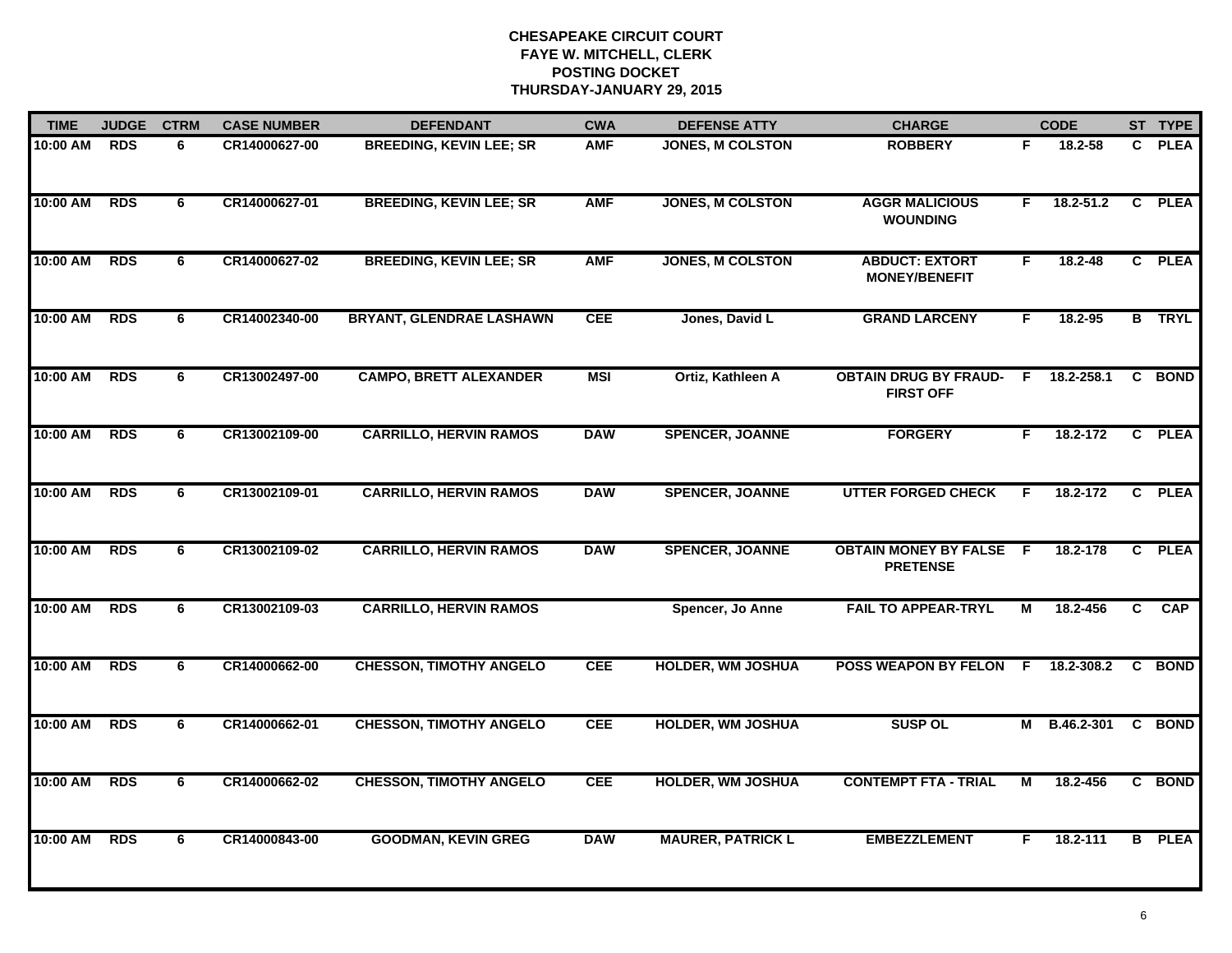| <b>TIME</b> | <b>JUDGE</b> | <b>CTRM</b> | <b>CASE NUMBER</b> | <b>DEFENDANT</b>                | <b>CWA</b> | <b>DEFENSE ATTY</b>      | <b>CHARGE</b>                                    |     | <b>CODE</b>   |   | ST TYPE       |
|-------------|--------------|-------------|--------------------|---------------------------------|------------|--------------------------|--------------------------------------------------|-----|---------------|---|---------------|
| 10:00 AM    | <b>RDS</b>   | 6           | CR14000627-00      | <b>BREEDING, KEVIN LEE; SR</b>  | <b>AMF</b> | <b>JONES, M COLSTON</b>  | <b>ROBBERY</b>                                   | F.  | 18.2-58       |   | C PLEA        |
| 10:00 AM    | <b>RDS</b>   | 6           | CR14000627-01      | <b>BREEDING, KEVIN LEE; SR</b>  | <b>AMF</b> | <b>JONES, M COLSTON</b>  | <b>AGGR MALICIOUS</b><br><b>WOUNDING</b>         | F.  | $18.2 - 51.2$ |   | C PLEA        |
| 10:00 AM    | <b>RDS</b>   | 6           | CR14000627-02      | <b>BREEDING, KEVIN LEE; SR</b>  | <b>AMF</b> | <b>JONES, M COLSTON</b>  | <b>ABDUCT: EXTORT</b><br><b>MONEY/BENEFIT</b>    | F.  | 18.2-48       |   | C PLEA        |
| 10:00 AM    | <b>RDS</b>   | 6           | CR14002340-00      | <b>BRYANT, GLENDRAE LASHAWN</b> | <b>CEE</b> | Jones, David L           | <b>GRAND LARCENY</b>                             | F.  | $18.2 - 95$   |   | <b>B</b> TRYL |
| 10:00 AM    | <b>RDS</b>   | 6           | CR13002497-00      | <b>CAMPO, BRETT ALEXANDER</b>   | <b>MSI</b> | Ortiz, Kathleen A        | <b>OBTAIN DRUG BY FRAUD-</b><br><b>FIRST OFF</b> | F.  | 18.2-258.1    |   | C BOND        |
| 10:00 AM    | <b>RDS</b>   | 6           | CR13002109-00      | <b>CARRILLO, HERVIN RAMOS</b>   | <b>DAW</b> | <b>SPENCER, JOANNE</b>   | <b>FORGERY</b>                                   | F.  | 18.2-172      |   | C PLEA        |
| 10:00 AM    | <b>RDS</b>   | 6           | CR13002109-01      | <b>CARRILLO, HERVIN RAMOS</b>   | <b>DAW</b> | <b>SPENCER, JOANNE</b>   | <b>UTTER FORGED CHECK</b>                        | F.  | 18.2-172      |   | C PLEA        |
| 10:00 AM    | RDS          | 6           | CR13002109-02      | <b>CARRILLO, HERVIN RAMOS</b>   | <b>DAW</b> | <b>SPENCER, JOANNE</b>   | <b>OBTAIN MONEY BY FALSE</b><br><b>PRETENSE</b>  | - F | 18.2-178      |   | C PLEA        |
| 10:00 AM    | <b>RDS</b>   | 6           | CR13002109-03      | <b>CARRILLO, HERVIN RAMOS</b>   |            | Spencer, Jo Anne         | <b>FAIL TO APPEAR-TRYL</b>                       | М   | 18.2-456      | C | <b>CAP</b>    |
| 10:00 AM    | <b>RDS</b>   | 6           | CR14000662-00      | <b>CHESSON, TIMOTHY ANGELO</b>  | <b>CEE</b> | <b>HOLDER, WM JOSHUA</b> | <b>POSS WEAPON BY FELON</b>                      | -F  | 18.2-308.2    |   | C BOND        |
| 10:00 AM    | <b>RDS</b>   | 6           | CR14000662-01      | <b>CHESSON, TIMOTHY ANGELO</b>  | <b>CEE</b> | <b>HOLDER, WM JOSHUA</b> | <b>SUSP OL</b>                                   |     | M B.46.2-301  |   | C BOND        |
| 10:00 AM    | <b>RDS</b>   | 6           | CR14000662-02      | <b>CHESSON, TIMOTHY ANGELO</b>  | <b>CEE</b> | <b>HOLDER, WM JOSHUA</b> | <b>CONTEMPT FTA - TRIAL</b>                      | М   | 18.2-456      |   | C BOND        |
| 10:00 AM    | <b>RDS</b>   | 6           | CR14000843-00      | <b>GOODMAN, KEVIN GREG</b>      | <b>DAW</b> | <b>MAURER, PATRICK L</b> | <b>EMBEZZLEMENT</b>                              | F.  | 18.2-111      |   | <b>B</b> PLEA |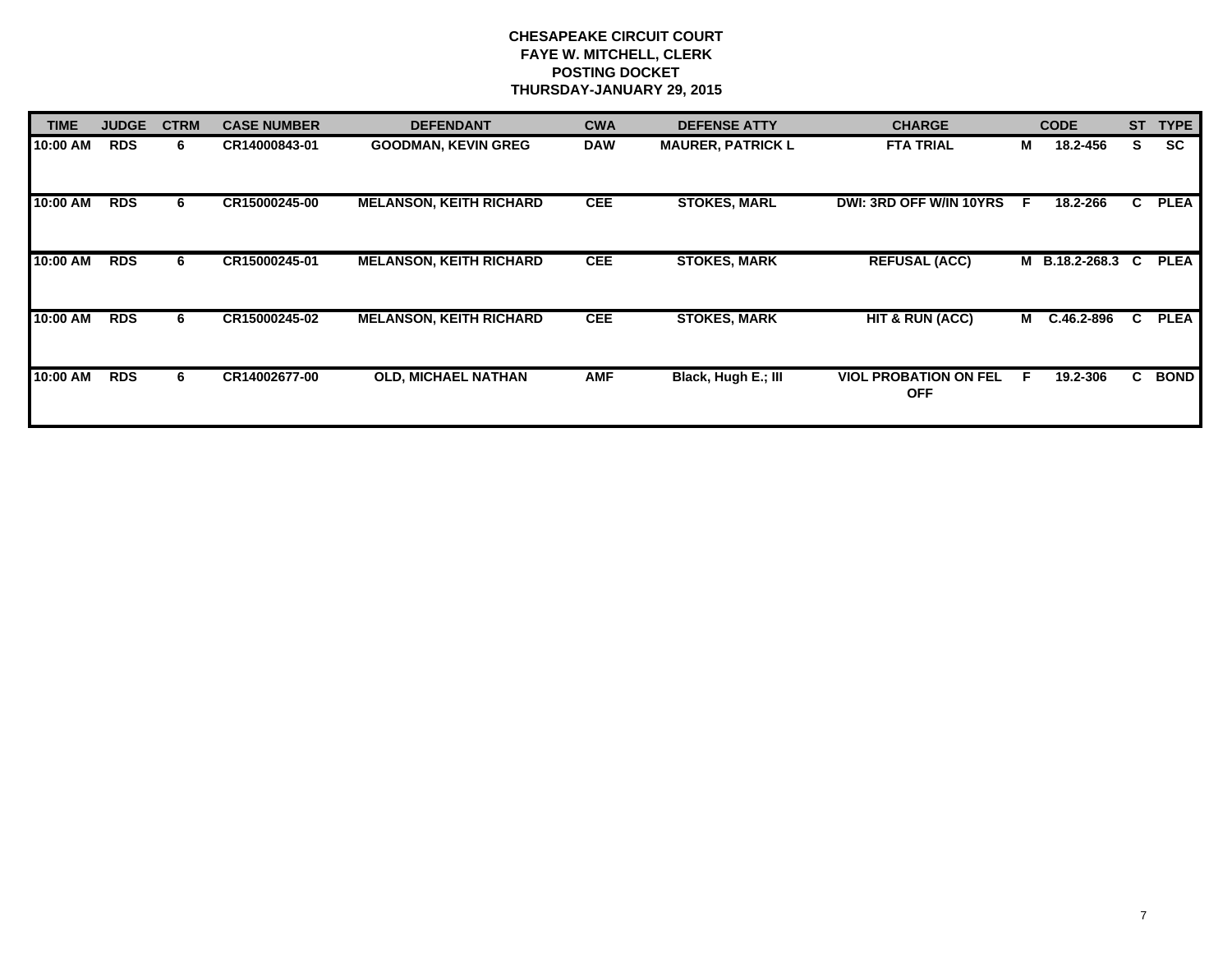| <b>TIME</b> | <b>JUDGE</b> | <b>CTRM</b> | <b>CASE NUMBER</b> | <b>DEFENDANT</b>               | <b>CWA</b> | <b>DEFENSE ATTY</b>      | <b>CHARGE</b>                              |    | <b>CODE</b>    | <b>ST</b> | <b>TYPE</b> |
|-------------|--------------|-------------|--------------------|--------------------------------|------------|--------------------------|--------------------------------------------|----|----------------|-----------|-------------|
| 10:00 AM    | <b>RDS</b>   | 6           | CR14000843-01      | <b>GOODMAN, KEVIN GREG</b>     | <b>DAW</b> | <b>MAURER, PATRICK L</b> | <b>FTA TRIAL</b>                           | М  | 18.2-456       | S.        | <b>SC</b>   |
| 10:00 AM    | <b>RDS</b>   | 6           | CR15000245-00      | <b>MELANSON, KEITH RICHARD</b> | <b>CEE</b> | <b>STOKES, MARL</b>      | <b>DWI: 3RD OFF W/IN 10YRS</b>             | -F | 18.2-266       | C         | <b>PLEA</b> |
| 10:00 AM    | <b>RDS</b>   | 6           | CR15000245-01      | <b>MELANSON, KEITH RICHARD</b> | <b>CEE</b> | <b>STOKES, MARK</b>      | <b>REFUSAL (ACC)</b>                       |    | M B.18.2-268.3 | C.        | <b>PLEA</b> |
| 10:00 AM    | <b>RDS</b>   | 6           | CR15000245-02      | <b>MELANSON, KEITH RICHARD</b> | <b>CEE</b> | <b>STOKES, MARK</b>      | HT & RUN (ACC)                             |    | M C.46.2-896   | C.        | <b>PLEA</b> |
| 10:00 AM    | <b>RDS</b>   | 6           | CR14002677-00      | <b>OLD, MICHAEL NATHAN</b>     | <b>AMF</b> | Black, Hugh E.; III      | <b>VIOL PROBATION ON FEL</b><br><b>OFF</b> | -F | 19.2-306       | C.        | <b>BOND</b> |